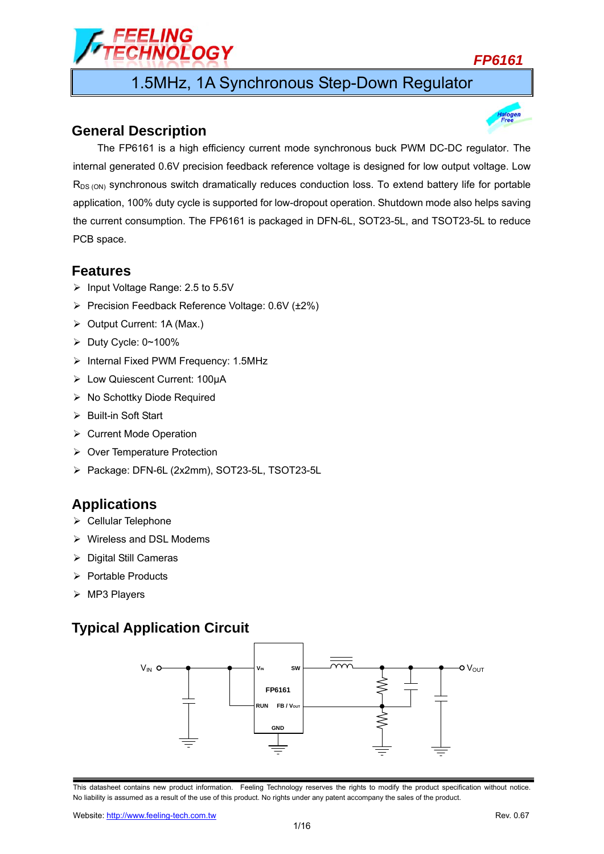# :LING<br><del>I</del>NOLOGY

## *FP6161*

1.5MHz, 1A Synchronous Step-Down Regulator

## **General Description**



The FP6161 is a high efficiency current mode synchronous buck PWM DC-DC regulator. The internal generated 0.6V precision feedback reference voltage is designed for low output voltage. Low  $R_{DS (ON)}$  synchronous switch dramatically reduces conduction loss. To extend battery life for portable application, 100% duty cycle is supported for low-dropout operation. Shutdown mode also helps saving the current consumption. The FP6161 is packaged in DFN-6L, SOT23-5L, and TSOT23-5L to reduce PCB space.

## **Features**

- $\triangleright$  Input Voltage Range: 2.5 to 5.5V
- $\triangleright$  Precision Feedback Reference Voltage: 0.6V ( $\pm$ 2%)
- ▶ Output Current: 1A (Max.)
- $\triangleright$  Duty Cycle: 0~100%
- $\triangleright$  Internal Fixed PWM Frequency: 1.5MHz
- Low Quiescent Current: 100μA
- $\triangleright$  No Schottky Diode Required
- $\triangleright$  Built-in Soft Start
- ▶ Current Mode Operation
- ▶ Over Temperature Protection
- Package: DFN-6L (2x2mm), SOT23-5L, TSOT23-5L

## **Applications**

- $\triangleright$  Cellular Telephone
- $\triangleright$  Wireless and DSL Modems
- $\triangleright$  Digital Still Cameras
- $\triangleright$  Portable Products
- $\triangleright$  MP3 Players

## **Typical Application Circuit**



This datasheet contains new product information. Feeling Technology reserves the rights to modify the product specification without notice. No liability is assumed as a result of the use of this product. No rights under any patent accompany the sales of the product.

Website: http://www.feeling-tech.com.tw Rev. 0.67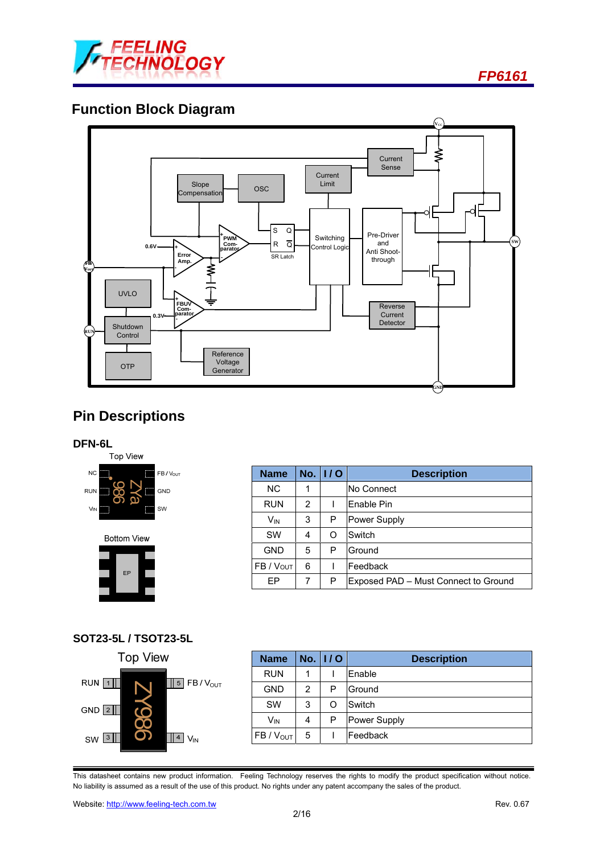

## **Function Block Diagram**



## **Pin Descriptions**

#### **DFN-6L**



**Bottom View** 



### **Name No. I / O Description**  NC | 1 | No Connect RUN | 2 | I Enable Pin  $V_{IN}$  3 P Power Supply SW | 4 | O Switch  $GND$  5 P Ground FB / Vout 6 | I Feedback EP 7 P Exposed PAD – Must Connect to Ground

### **SOT23-5L / TSOT23-5L**



| <b>Name</b>     |   | $No.$ $1/0$ | <b>Description</b> |
|-----------------|---|-------------|--------------------|
| <b>RUN</b>      |   |             | Enable             |
| <b>GND</b>      | 2 | P           | Ground             |
| SW              | 3 | O           | Switch             |
| V <sub>IN</sub> | 4 | P           | Power Supply       |
| $FB / V_{OUT}$  | 5 |             | Feedback           |

This datasheet contains new product information. Feeling Technology reserves the rights to modify the product specification without notice. No liability is assumed as a result of the use of this product. No rights under any patent accompany the sales of the product.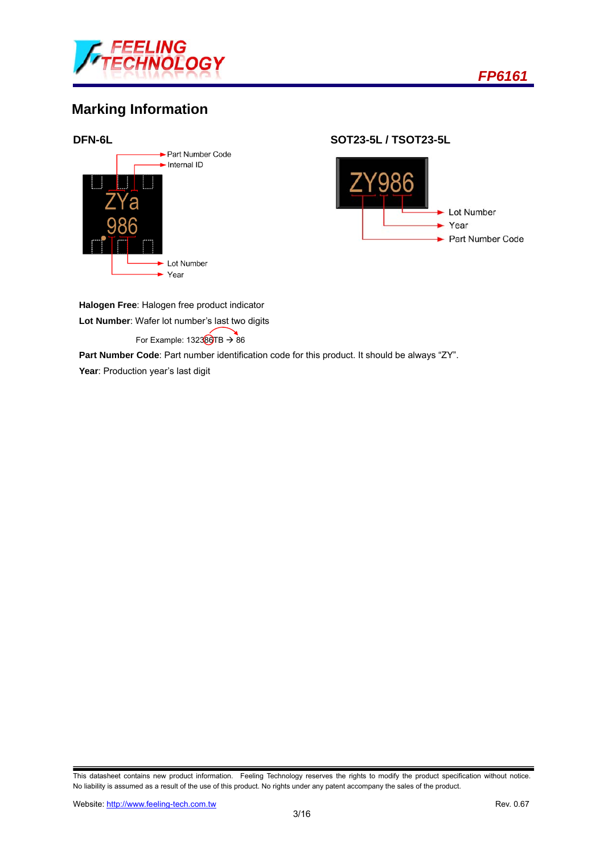

## **Marking Information**



**DFN-6L SOT23-5L / TSOT23-5L** 



**Halogen Free**: Halogen free product indicator

**Lot Number**: Wafer lot number's last two digits

For Example:  $132380TB \rightarrow 86$ 

**Part Number Code**: Part number identification code for this product. It should be always "ZY".

Year: Production year's last digit

This datasheet contains new product information. Feeling Technology reserves the rights to modify the product specification without notice. No liability is assumed as a result of the use of this product. No rights under any patent accompany the sales of the product.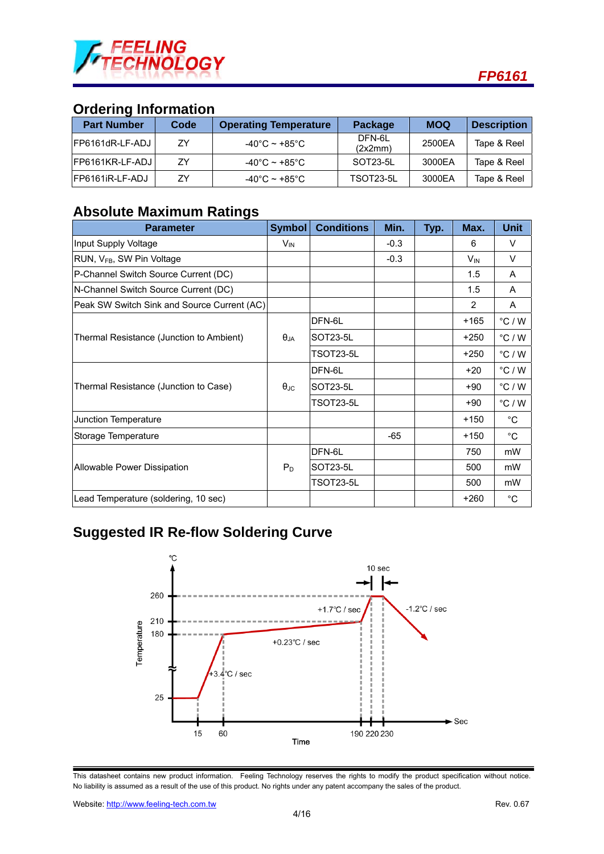

## **Ordering Information**

| <b>Part Number</b> | Code | <b>Operating Temperature</b>       | Package           | <b>MOQ</b> | <b>Description</b> |  |
|--------------------|------|------------------------------------|-------------------|------------|--------------------|--|
| FP6161dR-LF-ADJ    | ΖY   | $-40^{\circ}$ C ~ +85 $^{\circ}$ C | DFN-6L<br>(2x2mm) | 2500EA     | Tape & Reel        |  |
| FP6161KR-LF-ADJ    | 7Y   | $-40^{\circ}$ C ~ +85 $^{\circ}$ C | SOT23-5L          | 3000EA     | Tape & Reel        |  |
| FP6161iR-LF-ADJ    | 7Y   | $-40^{\circ}$ C ~ +85 $^{\circ}$ C | TSOT23-5L         | 3000EA     | Tape & Reel        |  |

## **Absolute Maximum Ratings**

| <b>Parameter</b>                            | <b>Symbol</b>     | <b>Conditions</b> | Min.   | Typ. | Max.     | <b>Unit</b>      |
|---------------------------------------------|-------------------|-------------------|--------|------|----------|------------------|
| Input Supply Voltage                        | $V_{IN}$          |                   | $-0.3$ |      | 6        | V                |
| RUN, V <sub>FB</sub> , SW Pin Voltage       |                   |                   | $-0.3$ |      | $V_{IN}$ | V                |
| P-Channel Switch Source Current (DC)        |                   |                   |        |      | 1.5      | A                |
| N-Channel Switch Source Current (DC)        |                   |                   |        |      | 1.5      | A                |
| Peak SW Switch Sink and Source Current (AC) |                   |                   |        |      | 2        | A                |
|                                             |                   | DFN-6L            |        |      | $+165$   | $\degree$ C / W  |
| Thermal Resistance (Junction to Ambient)    | $\theta_{JA}$     | SOT23-5L          |        |      | +250     | $^{\circ}$ C / W |
|                                             |                   | TSOT23-5L         |        |      | $+250$   | $^{\circ}$ C / W |
|                                             |                   | DFN-6L            |        |      | $+20$    | $\degree$ C / W  |
| Thermal Resistance (Junction to Case)       | $\theta_{\rm JC}$ | SOT23-5L          |        |      | $+90$    | $\degree$ C / W  |
|                                             |                   | TSOT23-5L         |        |      | $+90$    | $^{\circ}$ C / W |
| Junction Temperature                        |                   |                   |        |      | $+150$   | °C               |
| Storage Temperature                         |                   |                   | $-65$  |      | $+150$   | °C               |
|                                             |                   | DFN-6L            |        |      | 750      | mW               |
| Allowable Power Dissipation                 | $P_D$             | SOT23-5L          |        |      | 500      | mW               |
|                                             |                   | TSOT23-5L         |        |      | 500      | mW               |
| Lead Temperature (soldering, 10 sec)        |                   |                   |        |      | $+260$   | $^{\circ}$ C     |

## **Suggested IR Re-flow Soldering Curve**



This datasheet contains new product information. Feeling Technology reserves the rights to modify the product specification without notice. No liability is assumed as a result of the use of this product. No rights under any patent accompany the sales of the product.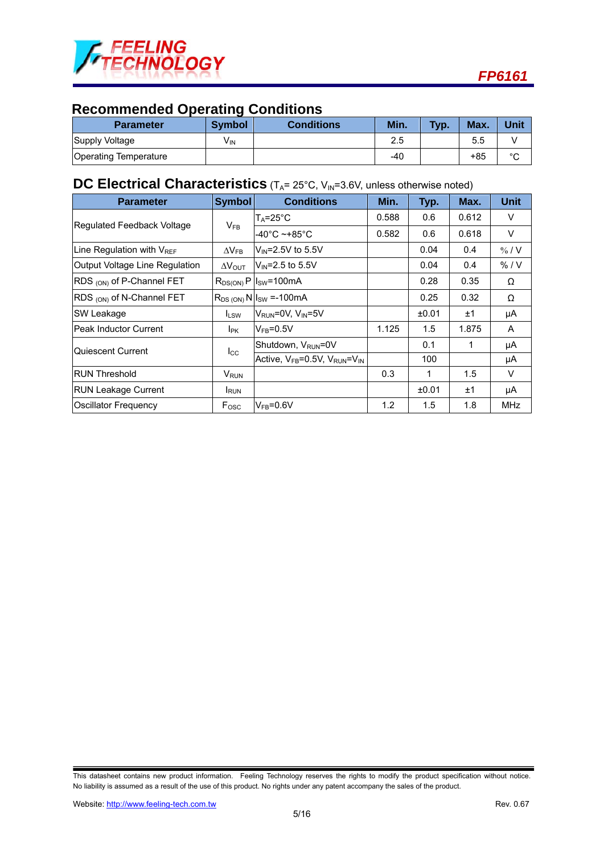

## **Recommended Operating Conditions**

| <b>Parameter</b>             | <b>Symbol</b> | <b>Conditions</b> | Min. | <b>Typ.</b> | Max. | Unit   |
|------------------------------|---------------|-------------------|------|-------------|------|--------|
| Supply Voltage               | VIN           |                   | 2.5  |             | 5.5  |        |
| <b>Operating Temperature</b> |               |                   | -40  |             | +85  | $\sim$ |

## **DC Electrical Characteristics** (T<sub>A</sub>= 25°C, V<sub>IN</sub>=3.6V, unless otherwise noted)

| <b>Parameter</b>               | Symbol                  | <b>Conditions</b>                            | Min.  | Typ.  | Max.  | <b>Unit</b>       |
|--------------------------------|-------------------------|----------------------------------------------|-------|-------|-------|-------------------|
|                                |                         | $T_A = 25^\circ \text{C}$                    | 0.588 | 0.6   | 0.612 | V                 |
| Regulated Feedback Voltage     | $V_{FB}$                | -40°C ~+85°C                                 | 0.582 | 0.6   | 0.618 | V                 |
| Line Regulation with VREF      | $\Delta V_{FB}$         | $V_{IN}$ =2.5V to 5.5V                       |       | 0.04  | 0.4   | $\frac{9}{6}$ / V |
| Output Voltage Line Regulation | $\Delta V_{\text{OUT}}$ | $V_{\text{IN}} = 2.5$ to 5.5V                |       | 0.04  | 0.4   | % / V             |
| RDS (ON) of P-Channel FET      |                         | $R_{DS(ON)}P$ $ I_{SW}=100mA$                |       | 0.28  | 0.35  | Ω                 |
| RDS (ON) of N-Channel FET      |                         | $R_{DS (ON)}$ N $I_{SW} = -100$ m A          |       | 0.25  | 0.32  | Ω                 |
| <b>SW Leakage</b>              | <b>ILSW</b>             | V <sub>RUN</sub> =0V, V <sub>IN</sub> =5V    |       | ±0.01 | ±1    | μA                |
| <b>IPeak Inductor Current</b>  | I <sub>PK</sub>         | $V_{FB} = 0.5V$                              | 1.125 | 1.5   | 1.875 | A                 |
| lQuiescent Current             | $_{\rm lcc}$            | Shutdown, V <sub>RUN</sub> =0V               |       | 0.1   |       | μA                |
|                                |                         | Active, $V_{FB} = 0.5V$ , $V_{RUN} = V_{IN}$ |       | 100   |       | μA                |
| <b>IRUN Threshold</b>          | <b>V</b> <sub>RUN</sub> |                                              | 0.3   | 1     | 1.5   | V                 |
| <b>RUN Leakage Current</b>     | <b>I</b> RUN            |                                              |       | ±0.01 | ±1    | μA                |
| Oscillator Frequency           | $F_{\rm{OSC}}$          | $V_{FB} = 0.6V$                              | 1.2   | 1.5   | 1.8   | <b>MHz</b>        |

This datasheet contains new product information. Feeling Technology reserves the rights to modify the product specification without notice. No liability is assumed as a result of the use of this product. No rights under any patent accompany the sales of the product.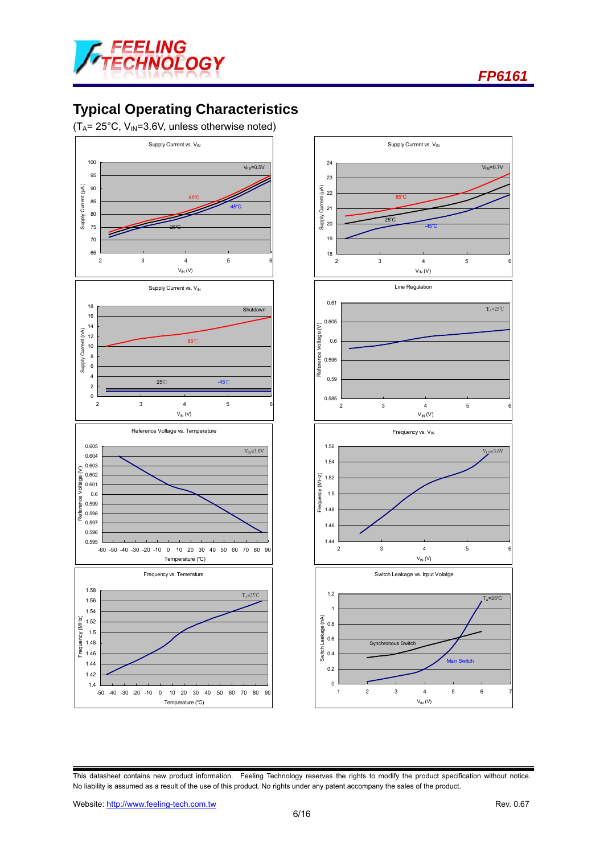



## **Typical Operating Characteristics**

 $(T_A= 25^{\circ}C, V_{IN}=3.6V,$  unless otherwise noted)





This datasheet contains new product information. Feeling Technology reserves the rights to modify the product specification without notice. No liability is assumed as a result of the use of this product. No rights under any patent accompany the sales of the product.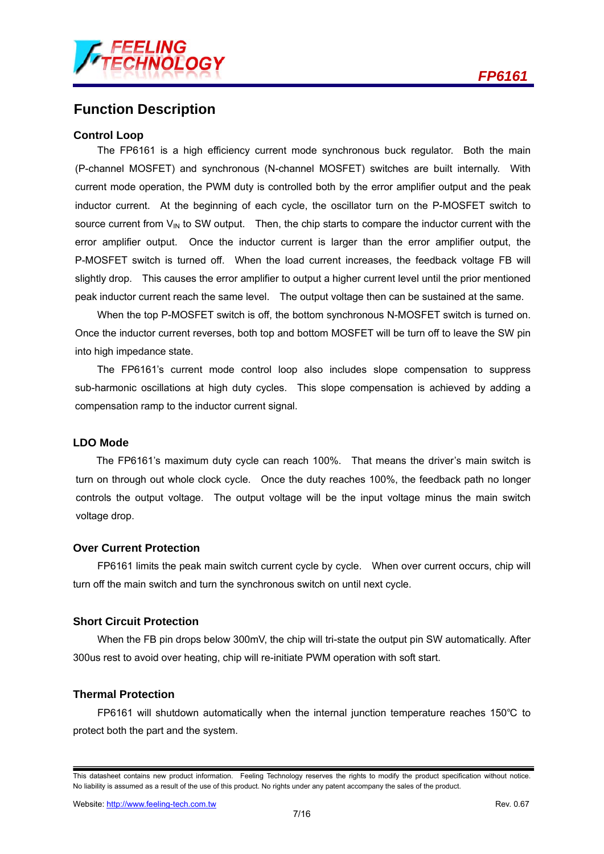## **Function Description**

#### **Control Loop**

The FP6161 is a high efficiency current mode synchronous buck regulator. Both the main (P-channel MOSFET) and synchronous (N-channel MOSFET) switches are built internally. With current mode operation, the PWM duty is controlled both by the error amplifier output and the peak inductor current. At the beginning of each cycle, the oscillator turn on the P-MOSFET switch to source current from  $V_{\text{IN}}$  to SW output. Then, the chip starts to compare the inductor current with the error amplifier output. Once the inductor current is larger than the error amplifier output, the P-MOSFET switch is turned off. When the load current increases, the feedback voltage FB will slightly drop. This causes the error amplifier to output a higher current level until the prior mentioned peak inductor current reach the same level. The output voltage then can be sustained at the same.

When the top P-MOSFET switch is off, the bottom synchronous N-MOSFET switch is turned on. Once the inductor current reverses, both top and bottom MOSFET will be turn off to leave the SW pin into high impedance state.

The FP6161's current mode control loop also includes slope compensation to suppress sub-harmonic oscillations at high duty cycles. This slope compensation is achieved by adding a compensation ramp to the inductor current signal.

#### **LDO Mode**

The FP6161's maximum duty cycle can reach 100%. That means the driver's main switch is turn on through out whole clock cycle. Once the duty reaches 100%, the feedback path no longer controls the output voltage. The output voltage will be the input voltage minus the main switch voltage drop.

#### **Over Current Protection**

FP6161 limits the peak main switch current cycle by cycle. When over current occurs, chip will turn off the main switch and turn the synchronous switch on until next cycle.

#### **Short Circuit Protection**

When the FB pin drops below 300mV, the chip will tri-state the output pin SW automatically. After 300us rest to avoid over heating, chip will re-initiate PWM operation with soft start.

#### **Thermal Protection**

FP6161 will shutdown automatically when the internal junction temperature reaches 150℃ to protect both the part and the system.

This datasheet contains new product information. Feeling Technology reserves the rights to modify the product specification without notice. No liability is assumed as a result of the use of this product. No rights under any patent accompany the sales of the product.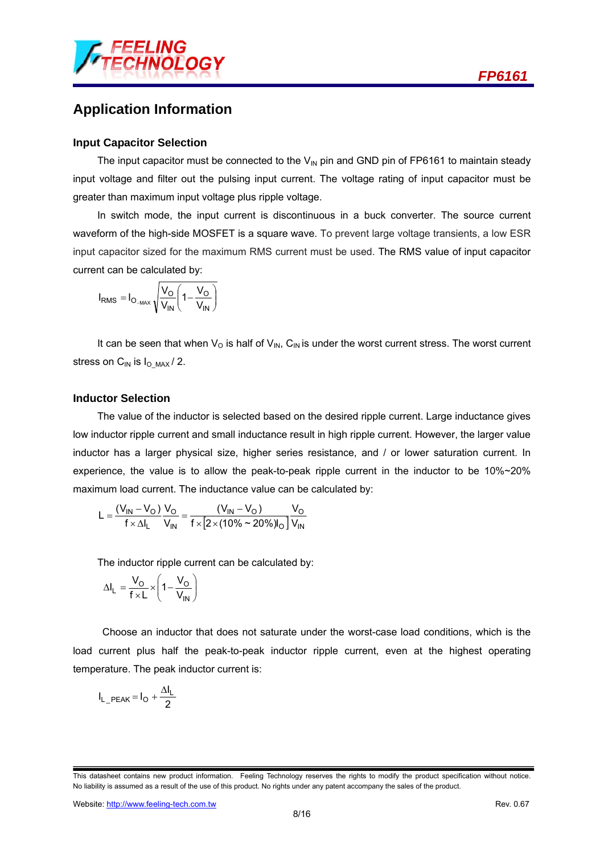

## **Application Information**

#### **Input Capacitor Selection**

The input capacitor must be connected to the  $V_{\text{IN}}$  pin and GND pin of FP6161 to maintain steady input voltage and filter out the pulsing input current. The voltage rating of input capacitor must be greater than maximum input voltage plus ripple voltage.

In switch mode, the input current is discontinuous in a buck converter. The source current waveform of the high-side MOSFET is a square wave. To prevent large voltage transients, a low ESR input capacitor sized for the maximum RMS current must be used. The RMS value of input capacitor current can be calculated by:

$$
I_{RMS} = I_{O_{-MAX}} \sqrt{\frac{V_O}{V_{IN}} \left(1 - \frac{V_O}{V_{IN}}\right)}
$$

It can be seen that when  $V_{\Omega}$  is half of  $V_{\text{IN}}$ , C<sub>IN</sub> is under the worst current stress. The worst current stress on  $C_{IN}$  is  $I_{OIMAX} / 2$ .

#### **Inductor Selection**

The value of the inductor is selected based on the desired ripple current. Large inductance gives low inductor ripple current and small inductance result in high ripple current. However, the larger value inductor has a larger physical size, higher series resistance, and / or lower saturation current. In experience, the value is to allow the peak-to-peak ripple current in the inductor to be 10%~20% maximum load current. The inductance value can be calculated by:

$$
L = \frac{(V_{IN} - V_{O}) V_{O}}{f \times \Delta I_{L}} = \frac{(V_{IN} - V_{O}) V_{O}}{f \times [2 \times (10\% \sim 20\%)]_{O}} = \frac{V_{O}}{V_{IN}}
$$

The inductor ripple current can be calculated by:

$$
\Delta I_L = \frac{V_O}{f \times L} \times \left(1 - \frac{V_O}{V_{IN}}\right)
$$

 Choose an inductor that does not saturate under the worst-case load conditions, which is the load current plus half the peak-to-peak inductor ripple current, even at the highest operating temperature. The peak inductor current is:

$$
I_{L\_PEAK} = I_O + \frac{\Delta I_L}{2}
$$

This datasheet contains new product information. Feeling Technology reserves the rights to modify the product specification without notice. No liability is assumed as a result of the use of this product. No rights under any patent accompany the sales of the product.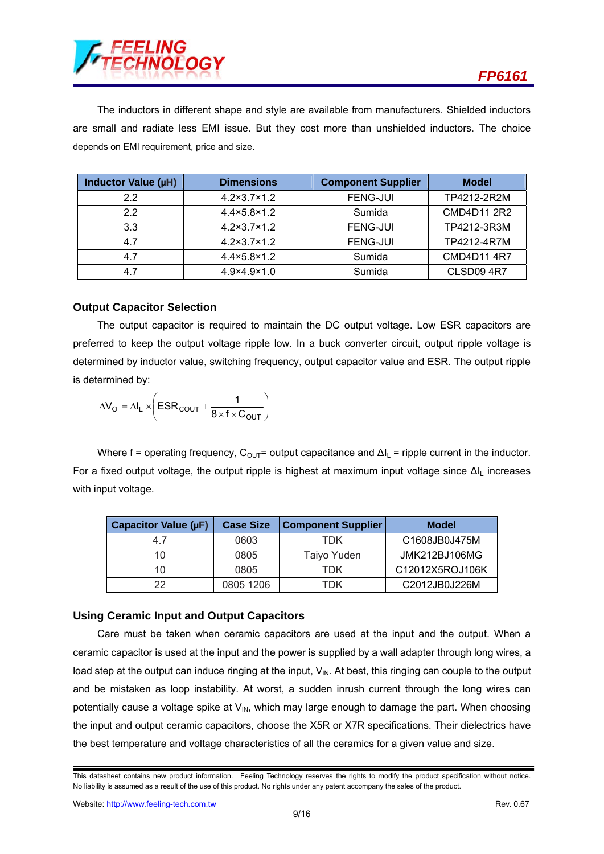

The inductors in different shape and style are available from manufacturers. Shielded inductors are small and radiate less EMI issue. But they cost more than unshielded inductors. The choice depends on EMI requirement, price and size.

| Inductor Value (µH) | <b>Dimensions</b>           | <b>Component Supplier</b> | <b>Model</b>      |
|---------------------|-----------------------------|---------------------------|-------------------|
| 22                  | $4.2 \times 3.7 \times 1.2$ | <b>FENG-JUI</b>           | TP4212-2R2M       |
| 2.2                 | $4.4 \times 5.8 \times 1.2$ | Sumida                    | CMD4D11 2R2       |
| 3.3                 | $4.2 \times 3.7 \times 1.2$ | <b>FENG-JUI</b>           | TP4212-3R3M       |
| 4.7                 | $4.2 \times 3.7 \times 1.2$ | <b>FENG-JUI</b>           | TP4212-4R7M       |
| 4.7                 | $4.4 \times 5.8 \times 1.2$ | Sumida                    | CMD4D114R7        |
| 4.7                 | $4.9 \times 4.9 \times 1.0$ | Sumida                    | <b>CLSD09 4R7</b> |

#### **Output Capacitor Selection**

The output capacitor is required to maintain the DC output voltage. Low ESR capacitors are preferred to keep the output voltage ripple low. In a buck converter circuit, output ripple voltage is determined by inductor value, switching frequency, output capacitor value and ESR. The output ripple is determined by:

$$
\Delta V_{O} = \Delta I_{L} \times \left( \text{ESR}_{COUT} + \frac{1}{8 \times f \times C_{OUT}} \right)
$$

Where f = operating frequency,  $C_{\text{OUT}}$ = output capacitance and  $\Delta I_L$  = ripple current in the inductor. For a fixed output voltage, the output ripple is highest at maximum input voltage since ΔIL increases with input voltage.

| Capacitor Value (µF) | <b>Case Size</b> | <b>Component Supplier</b> | <b>Model</b>         |
|----------------------|------------------|---------------------------|----------------------|
| 47                   | 0603             | TDK                       | C1608JB0J475M        |
| 10                   | 0805             | Taiyo Yuden               | <b>JMK212BJ106MG</b> |
| 10                   | 0805             | TDK                       | C12012X5ROJ106K      |
| 22                   | 0805 1206        | TDK                       | C2012JB0J226M        |

#### **Using Ceramic Input and Output Capacitors**

Care must be taken when ceramic capacitors are used at the input and the output. When a ceramic capacitor is used at the input and the power is supplied by a wall adapter through long wires, a load step at the output can induce ringing at the input,  $V_{IN}$ . At best, this ringing can couple to the output and be mistaken as loop instability. At worst, a sudden inrush current through the long wires can potentially cause a voltage spike at  $V_{\text{IN}}$ , which may large enough to damage the part. When choosing the input and output ceramic capacitors, choose the X5R or X7R specifications. Their dielectrics have the best temperature and voltage characteristics of all the ceramics for a given value and size.

This datasheet contains new product information. Feeling Technology reserves the rights to modify the product specification without notice. No liability is assumed as a result of the use of this product. No rights under any patent accompany the sales of the product.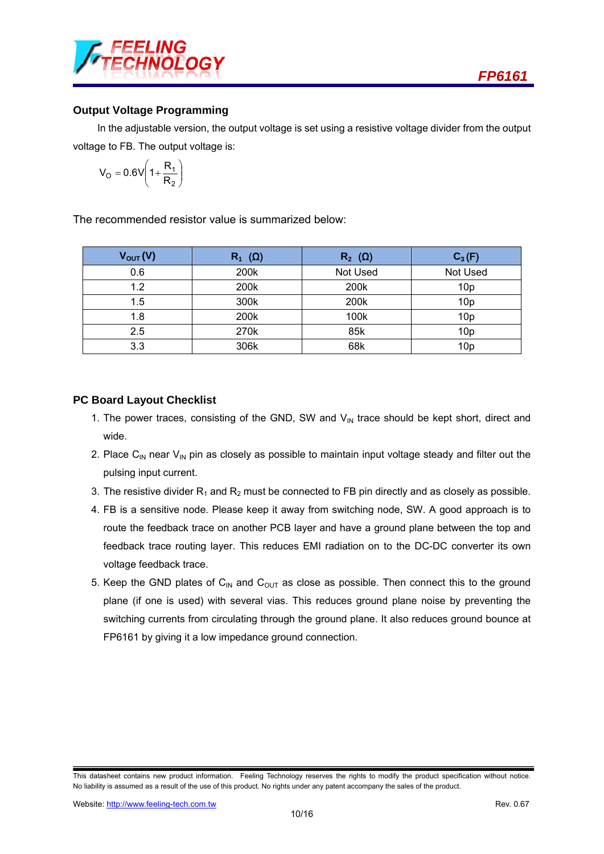

#### **Output Voltage Programming**

In the adjustable version, the output voltage is set using a resistive voltage divider from the output voltage to FB. The output voltage is:

$$
V_O = 0.6V \left(1 + \frac{R_1}{R_2}\right)
$$

The recommended resistor value is summarized below:

| $V_{\text{OUT}}(V)$ | $R_1$ ( $\Omega$ ) | $R_2$ ( $\Omega$ ) | $C_3(F)$        |
|---------------------|--------------------|--------------------|-----------------|
| 0.6                 | 200k               | Not Used           | Not Used        |
| 1.2                 | 200k               | 200k               | 10 <sub>p</sub> |
| 1.5                 | 300k               | 200k               | 10 <sub>p</sub> |
| 1.8                 | 200k               | 100k               | 10 <sub>p</sub> |
| 2.5                 | 270k               | 85k                | 10 <sub>p</sub> |
| 3.3                 | 306k               | 68k                | 10 <sub>p</sub> |

#### **PC Board Layout Checklist**

- 1. The power traces, consisting of the GND, SW and  $V_{\text{IN}}$  trace should be kept short, direct and wide.
- 2. Place C<sub>IN</sub> near V<sub>IN</sub> pin as closely as possible to maintain input voltage steady and filter out the pulsing input current.
- 3. The resistive divider  $R_1$  and  $R_2$  must be connected to FB pin directly and as closely as possible.
- 4. FB is a sensitive node. Please keep it away from switching node, SW. A good approach is to route the feedback trace on another PCB layer and have a ground plane between the top and feedback trace routing layer. This reduces EMI radiation on to the DC-DC converter its own voltage feedback trace.
- 5. Keep the GND plates of  $C_{\text{IN}}$  and  $C_{\text{OUT}}$  as close as possible. Then connect this to the ground plane (if one is used) with several vias. This reduces ground plane noise by preventing the switching currents from circulating through the ground plane. It also reduces ground bounce at FP6161 by giving it a low impedance ground connection.

This datasheet contains new product information. Feeling Technology reserves the rights to modify the product specification without notice. No liability is assumed as a result of the use of this product. No rights under any patent accompany the sales of the product.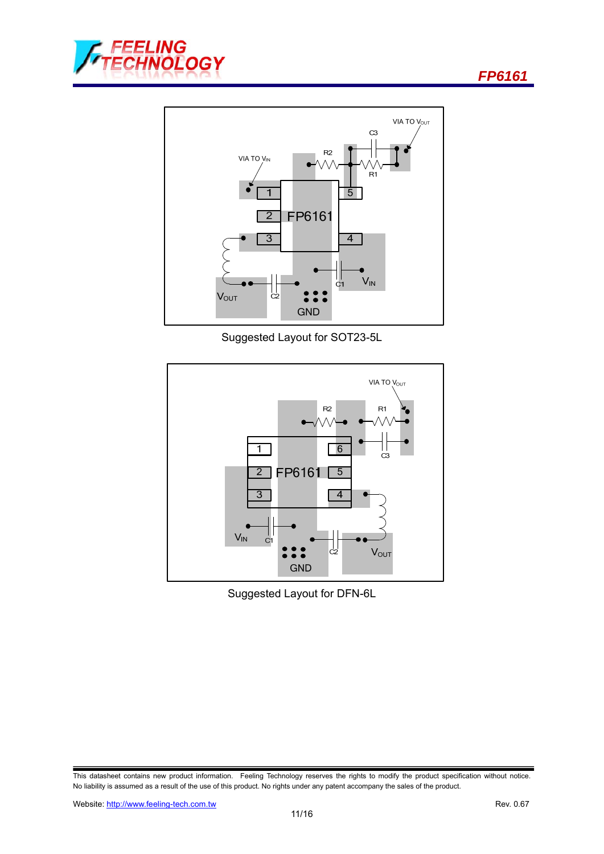

Suggested Layout for SOT23-5L



Suggested Layout for DFN-6L

This datasheet contains new product information. Feeling Technology reserves the rights to modify the product specification without notice. No liability is assumed as a result of the use of this product. No rights under any patent accompany the sales of the product.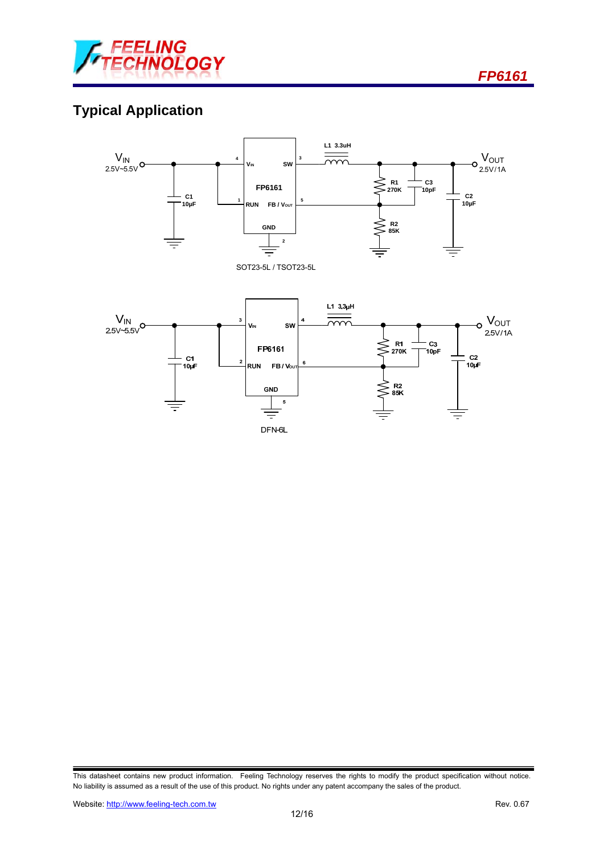

## **Typical Application**



This datasheet contains new product information. Feeling Technology reserves the rights to modify the product specification without notice. No liability is assumed as a result of the use of this product. No rights under any patent accompany the sales of the product.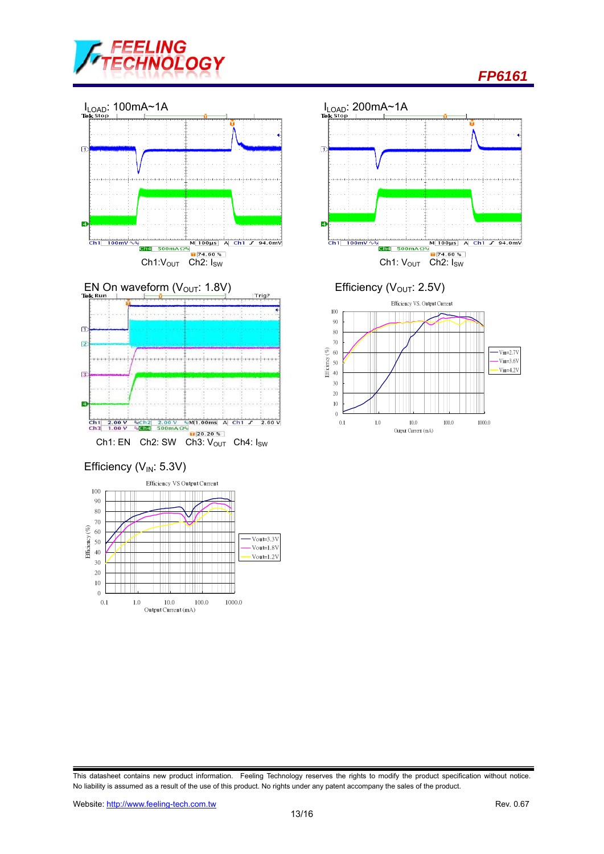





Efficiency ( $V_{IN}$ : 5.3V)







This datasheet contains new product information. Feeling Technology reserves the rights to modify the product specification without notice. No liability is assumed as a result of the use of this product. No rights under any patent accompany the sales of the product.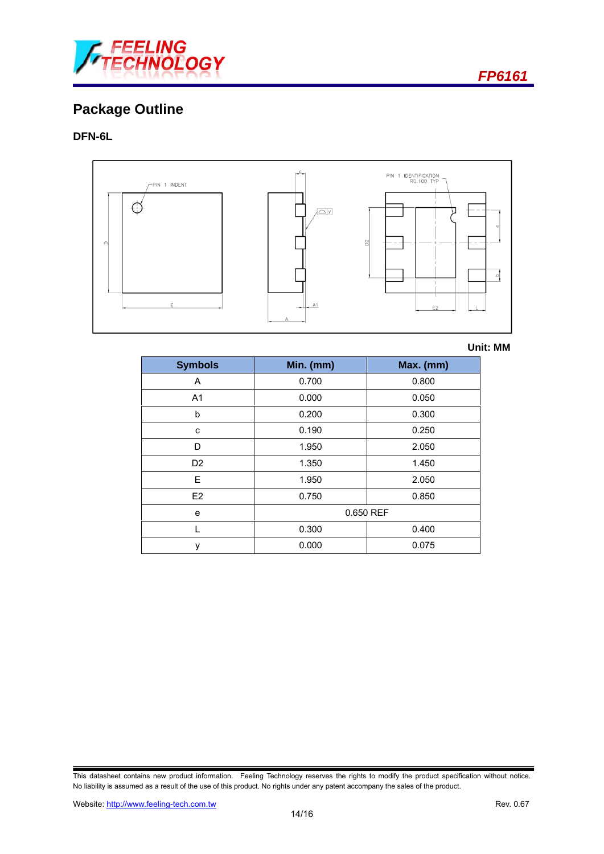

## **Package Outline**

#### **DFN-6L**



**Unit: MM**

| <b>Symbols</b> | Min. (mm) | Max. (mm) |  |
|----------------|-----------|-----------|--|
| A              | 0.700     | 0.800     |  |
| A <sub>1</sub> | 0.000     | 0.050     |  |
| b              | 0.200     | 0.300     |  |
| C              | 0.190     | 0.250     |  |
| D              | 1.950     | 2.050     |  |
| D <sub>2</sub> | 1.350     | 1.450     |  |
| E              | 1.950     | 2.050     |  |
| E2             | 0.750     | 0.850     |  |
| e              | 0.650 REF |           |  |
|                | 0.300     | 0.400     |  |
| ٧              | 0.000     | 0.075     |  |

This datasheet contains new product information. Feeling Technology reserves the rights to modify the product specification without notice. No liability is assumed as a result of the use of this product. No rights under any patent accompany the sales of the product.

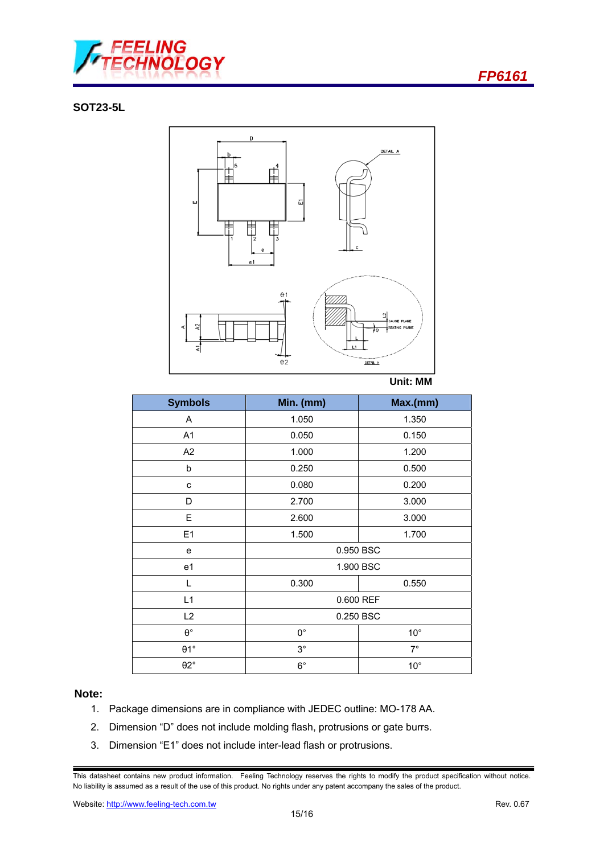

#### **SOT23-5L**



**Unit: MM** 

| <b>Symbols</b>   | Min. (mm)   | Max.(mm)     |  |
|------------------|-------------|--------------|--|
| Α                | 1.050       | 1.350        |  |
| A <sub>1</sub>   | 0.050       | 0.150        |  |
| A <sub>2</sub>   | 1.000       | 1.200        |  |
| b                | 0.250       | 0.500        |  |
| C                | 0.080       | 0.200        |  |
| D                | 2.700       | 3.000        |  |
| Ε                | 2.600       | 3.000        |  |
| E1               | 1.500       | 1.700        |  |
| e                | 0.950 BSC   |              |  |
| e1               |             | 1.900 BSC    |  |
| L                | 0.300       | 0.550        |  |
| L1               | 0.600 REF   |              |  |
| L <sub>2</sub>   | 0.250 BSC   |              |  |
| $\theta^{\circ}$ | $0^{\circ}$ | $10^{\circ}$ |  |
| $\theta$ 1°      | $3^\circ$   | $7^\circ$    |  |
| $\theta$ 2°      | $6^{\circ}$ | $10^{\circ}$ |  |

#### **Note:**

- 1. Package dimensions are in compliance with JEDEC outline: MO-178 AA.
- 2. Dimension "D" does not include molding flash, protrusions or gate burrs.
- 3. Dimension "E1" does not include inter-lead flash or protrusions.

This datasheet contains new product information. Feeling Technology reserves the rights to modify the product specification without notice. No liability is assumed as a result of the use of this product. No rights under any patent accompany the sales of the product.